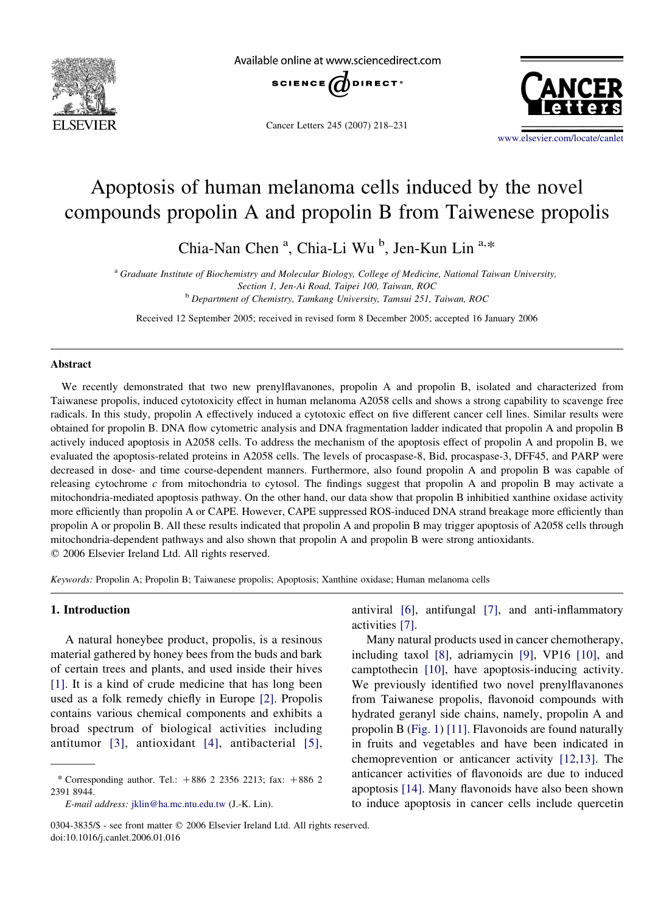

Available online at www.sciencedirect.com



Cancer Letters 245 (2007) 218–231



[www.elsevier.com/locate/canlet](http://www.elsevier.com/locate/canlet)

# Apoptosis of human melanoma cells induced by the novel compounds propolin A and propolin B from Taiwenese propolis

Chia-Nan Chen<sup>a</sup>, Chia-Li Wu<sup>b</sup>, Jen-Kun Lin<sup>a,\*</sup>

<sup>a</sup> Graduate Institute of Biochemistry and Molecular Biology, College of Medicine, National Taiwan University, Section 1, Jen-Ai Road, Taipei 100, Taiwan, ROC

<sup>b</sup> Department of Chemistry, Tamkang University, Tamsui 251, Taiwan, ROC

Received 12 September 2005; received in revised form 8 December 2005; accepted 16 January 2006

#### Abstract

We recently demonstrated that two new prenylflavanones, propolin A and propolin B, isolated and characterized from Taiwanese propolis, induced cytotoxicity effect in human melanoma A2058 cells and shows a strong capability to scavenge free radicals. In this study, propolin A effectively induced a cytotoxic effect on five different cancer cell lines. Similar results were obtained for propolin B. DNA flow cytometric analysis and DNA fragmentation ladder indicated that propolin A and propolin B actively induced apoptosis in A2058 cells. To address the mechanism of the apoptosis effect of propolin A and propolin B, we evaluated the apoptosis-related proteins in A2058 cells. The levels of procaspase-8, Bid, procaspase-3, DFF45, and PARP were decreased in dose- and time course-dependent manners. Furthermore, also found propolin A and propolin B was capable of releasing cytochrome  $c$  from mitochondria to cytosol. The findings suggest that propolin A and propolin B may activate a mitochondria-mediated apoptosis pathway. On the other hand, our data show that propolin B inhibitied xanthine oxidase activity more efficiently than propolin A or CAPE. However, CAPE suppressed ROS-induced DNA strand breakage more efficiently than propolin A or propolin B. All these results indicated that propolin A and propolin B may trigger apoptosis of A2058 cells through mitochondria-dependent pathways and also shown that propolin A and propolin B were strong antioxidants.  $© 2006 Elsevier Ireland Ltd. All rights reserved.$ 

Keywords: Propolin A; Propolin B; Taiwanese propolis; Apoptosis; Xanthine oxidase; Human melanoma cells

## 1. Introduction

A natural honeybee product, propolis, is a resinous material gathered by honey bees from the buds and bark of certain trees and plants, and used inside their hives [\[1\].](#page-13-0) It is a kind of crude medicine that has long been used as a folk remedy chiefly in Europe [\[2\].](#page-13-0) Propolis contains various chemical components and exhibits a broad spectrum of biological activities including antitumor [\[3\],](#page-13-0) antioxidant [\[4\]](#page-13-0), antibacterial [\[5\],](#page-13-0)

E-mail address: [jklin@ha.mc.ntu.edu.tw](mailto:jklin@ha.mc.ntu.edu.tw) (J.-K. Lin).

antiviral [\[6\],](#page-13-0) antifungal [\[7\]](#page-13-0), and anti-inflammatory activities [\[7\]](#page-13-0).

Many natural products used in cancer chemotherapy, including taxol [\[8\]](#page-13-0), adriamycin [\[9\]](#page-13-0), VP16 [\[10\],](#page-13-0) and camptothecin [\[10\],](#page-13-0) have apoptosis-inducing activity. We previously identified two novel prenylflavanones from Taiwanese propolis, flavonoid compounds with hydrated geranyl side chains, namely, propolin A and propolin B ([Fig. 1\)](#page-1-0) [\[11\]](#page-13-0). Flavonoids are found naturally in fruits and vegetables and have been indicated in chemoprevention or anticancer activity [\[12,13\]](#page-13-0). The anticancer activities of flavonoids are due to induced apoptosis [\[14\]](#page-13-0). Many flavonoids have also been shown to induce apoptosis in cancer cells include quercetin

<sup>\*</sup> Corresponding author. Tel.:  $+886$  2 2356 2213; fax:  $+886$  2 2391 8944.

<sup>0304-3835/\$ -</sup> see front matter © 2006 Elsevier Ireland Ltd. All rights reserved. doi:10.1016/j.canlet.2006.01.016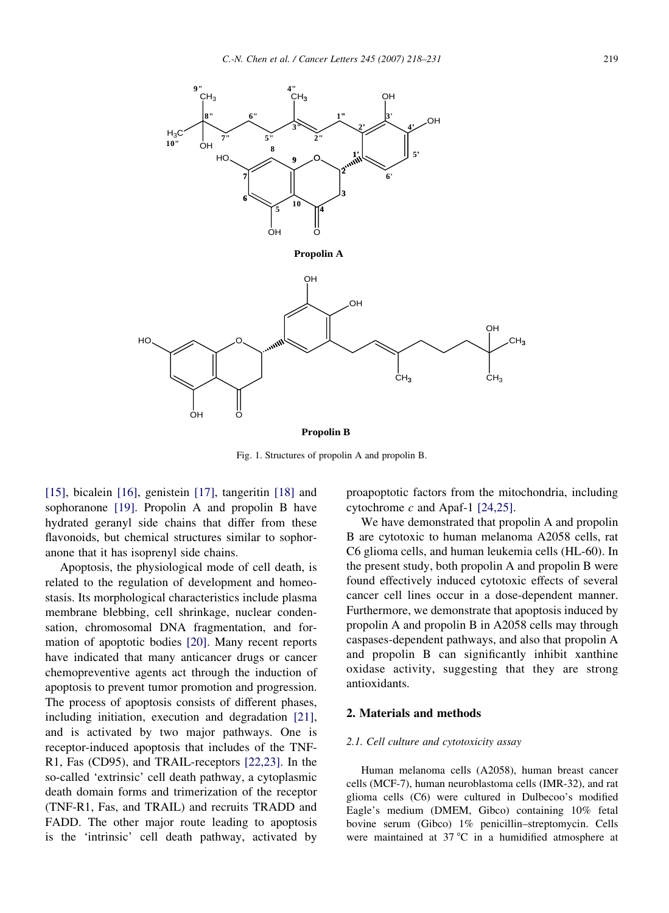<span id="page-1-0"></span>

Fig. 1. Structures of propolin A and propolin B.

[\[15\]](#page-13-0), bicalein [\[16\],](#page-13-0) genistein [\[17\],](#page-13-0) tangeritin [\[18\]](#page-13-0) and sophoranone [\[19\].](#page-13-0) Propolin A and propolin B have hydrated geranyl side chains that differ from these flavonoids, but chemical structures similar to sophoranone that it has isoprenyl side chains.

Apoptosis, the physiological mode of cell death, is related to the regulation of development and homeostasis. Its morphological characteristics include plasma membrane blebbing, cell shrinkage, nuclear condensation, chromosomal DNA fragmentation, and formation of apoptotic bodies [\[20\]](#page-13-0). Many recent reports have indicated that many anticancer drugs or cancer chemopreventive agents act through the induction of apoptosis to prevent tumor promotion and progression. The process of apoptosis consists of different phases, including initiation, execution and degradation [\[21\],](#page-13-0) and is activated by two major pathways. One is receptor-induced apoptosis that includes of the TNF-R1, Fas (CD95), and TRAIL-receptors [\[22,23\]](#page-13-0). In the so-called 'extrinsic' cell death pathway, a cytoplasmic death domain forms and trimerization of the receptor (TNF-R1, Fas, and TRAIL) and recruits TRADD and FADD. The other major route leading to apoptosis is the 'intrinsic' cell death pathway, activated by proapoptotic factors from the mitochondria, including cytochrome  $c$  and Apaf-1 [\[24,25\].](#page-13-0)

We have demonstrated that propolin A and propolin B are cytotoxic to human melanoma A2058 cells, rat C6 glioma cells, and human leukemia cells (HL-60). In the present study, both propolin A and propolin B were found effectively induced cytotoxic effects of several cancer cell lines occur in a dose-dependent manner. Furthermore, we demonstrate that apoptosis induced by propolin A and propolin B in A2058 cells may through caspases-dependent pathways, and also that propolin A and propolin B can significantly inhibit xanthine oxidase activity, suggesting that they are strong antioxidants.

## 2. Materials and methods

#### 2.1. Cell culture and cytotoxicity assay

Human melanoma cells (A2058), human breast cancer cells (MCF-7), human neuroblastoma cells (IMR-32), and rat glioma cells (C6) were cultured in Dulbecoo's modified Eagle's medium (DMEM, Gibco) containing 10% fetal bovine serum (Gibco) 1% penicillin–streptomycin. Cells were maintained at  $37^{\circ}$ C in a humidified atmosphere at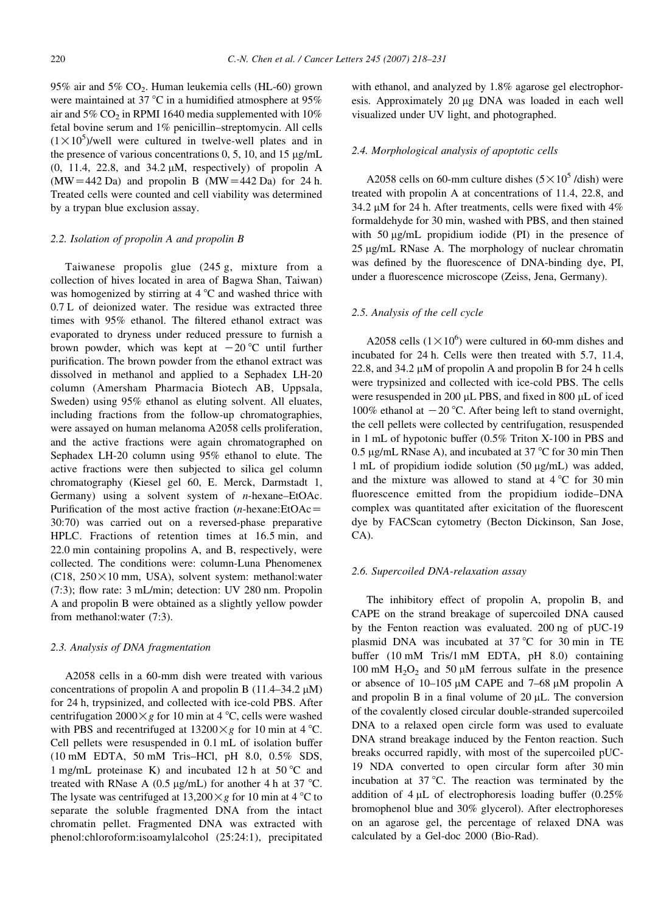95% air and 5%  $CO<sub>2</sub>$ . Human leukemia cells (HL-60) grown were maintained at 37  $\degree$ C in a humidified atmosphere at 95% air and  $5\%$  CO<sub>2</sub> in RPMI 1640 media supplemented with  $10\%$ fetal bovine serum and 1% penicillin–streptomycin. All cells  $(1 \times 10^5)$ /well were cultured in twelve-well plates and in the presence of various concentrations  $0, 5, 10$ , and  $15 \mu g/mL$ (0, 11.4, 22.8, and 34.2  $\mu$ M, respectively) of propolin A  $(MW=442 \text{ Da})$  and propolin B  $(MW=442 \text{ Da})$  for 24 h. Treated cells were counted and cell viability was determined by a trypan blue exclusion assay.

#### 2.2. Isolation of propolin A and propolin B

Taiwanese propolis glue (245 g, mixture from a collection of hives located in area of Bagwa Shan, Taiwan) was homogenized by stirring at  $4^{\circ}$ C and washed thrice with 0.7 L of deionized water. The residue was extracted three times with 95% ethanol. The filtered ethanol extract was evaporated to dryness under reduced pressure to furnish a brown powder, which was kept at  $-20$  °C until further purification. The brown powder from the ethanol extract was dissolved in methanol and applied to a Sephadex LH-20 column (Amersham Pharmacia Biotech AB, Uppsala, Sweden) using 95% ethanol as eluting solvent. All eluates, including fractions from the follow-up chromatographies, were assayed on human melanoma A2058 cells proliferation, and the active fractions were again chromatographed on Sephadex LH-20 column using 95% ethanol to elute. The active fractions were then subjected to silica gel column chromatography (Kiesel gel 60, E. Merck, Darmstadt 1, Germany) using a solvent system of n-hexane–EtOAc. Purification of the most active fraction ( $n$ -hexane:EtOAc= 30:70) was carried out on a reversed-phase preparative HPLC. Fractions of retention times at 16.5 min, and 22.0 min containing propolins A, and B, respectively, were collected. The conditions were: column-Luna Phenomenex  $(C18, 250 \times 10 \text{ mm}, \text{USA})$ , solvent system: methanol:water (7:3); flow rate: 3 mL/min; detection: UV 280 nm. Propolin A and propolin B were obtained as a slightly yellow powder from methanol:water (7:3).

#### 2.3. Analysis of DNA fragmentation

A2058 cells in a 60-mm dish were treated with various concentrations of propolin A and propolin B  $(11.4-34.2 \mu M)$ for 24 h, trypsinized, and collected with ice-cold PBS. After centrifugation  $2000 \times g$  for 10 min at 4 °C, cells were washed with PBS and recentrifuged at  $13200 \times g$  for 10 min at 4 °C. Cell pellets were resuspended in 0.1 mL of isolation buffer (10 mM EDTA, 50 mM Tris–HCl, pH 8.0, 0.5% SDS, 1 mg/mL proteinase K) and incubated 12 h at  $50^{\circ}$ C and treated with RNase A (0.5  $\mu$ g/mL) for another 4 h at 37 °C. The lysate was centrifuged at  $13,200 \times g$  for 10 min at 4 °C to separate the soluble fragmented DNA from the intact chromatin pellet. Fragmented DNA was extracted with phenol:chloroform:isoamylalcohol (25:24:1), precipitated with ethanol, and analyzed by 1.8% agarose gel electrophoresis. Approximately 20 µg DNA was loaded in each well visualized under UV light, and photographed.

## 2.4. Morphological analysis of apoptotic cells

A2058 cells on 60-mm culture dishes  $(5 \times 10^5$ /dish) were treated with propolin A at concentrations of 11.4, 22.8, and 34.2  $\mu$ M for 24 h. After treatments, cells were fixed with 4% formaldehyde for 30 min, washed with PBS, and then stained with  $50 \mu g/mL$  propidium iodide (PI) in the presence of 25 µg/mL RNase A. The morphology of nuclear chromatin was defined by the fluorescence of DNA-binding dye, PI, under a fluorescence microscope (Zeiss, Jena, Germany).

#### 2.5. Analysis of the cell cycle

A2058 cells  $(1 \times 10^6)$  were cultured in 60-mm dishes and incubated for 24 h. Cells were then treated with 5.7, 11.4, 22.8, and 34.2  $\mu$ M of propolin A and propolin B for 24 h cells were trypsinized and collected with ice-cold PBS. The cells were resuspended in 200 µL PBS, and fixed in 800 µL of iced 100% ethanol at  $-20$  °C. After being left to stand overnight, the cell pellets were collected by centrifugation, resuspended in 1 mL of hypotonic buffer (0.5% Triton X-100 in PBS and 0.5  $\mu$ g/mL RNase A), and incubated at 37 °C for 30 min Then 1 mL of propidium iodide solution (50 mg/mL) was added, and the mixture was allowed to stand at  $4^{\circ}$ C for 30 min fluorescence emitted from the propidium iodide–DNA complex was quantitated after exicitation of the fluorescent dye by FACScan cytometry (Becton Dickinson, San Jose, CA).

#### 2.6. Supercoiled DNA-relaxation assay

The inhibitory effect of propolin A, propolin B, and CAPE on the strand breakage of supercoiled DNA caused by the Fenton reaction was evaluated. 200 ng of pUC-19 plasmid DNA was incubated at  $37^{\circ}$ C for 30 min in TE buffer (10 mM Tris/1 mM EDTA, pH 8.0) containing 100 mM  $H_2O_2$  and 50 µM ferrous sulfate in the presence or absence of  $10-105 \mu M$  CAPE and 7-68  $\mu$ M propolin A and propolin B in a final volume of  $20 \mu L$ . The conversion of the covalently closed circular double-stranded supercoiled DNA to a relaxed open circle form was used to evaluate DNA strand breakage induced by the Fenton reaction. Such breaks occurred rapidly, with most of the supercoiled pUC-19 NDA converted to open circular form after 30 min incubation at  $37^{\circ}$ C. The reaction was terminated by the addition of  $4 \mu L$  of electrophoresis loading buffer  $(0.25\%$ bromophenol blue and 30% glycerol). After electrophoreses on an agarose gel, the percentage of relaxed DNA was calculated by a Gel-doc 2000 (Bio-Rad).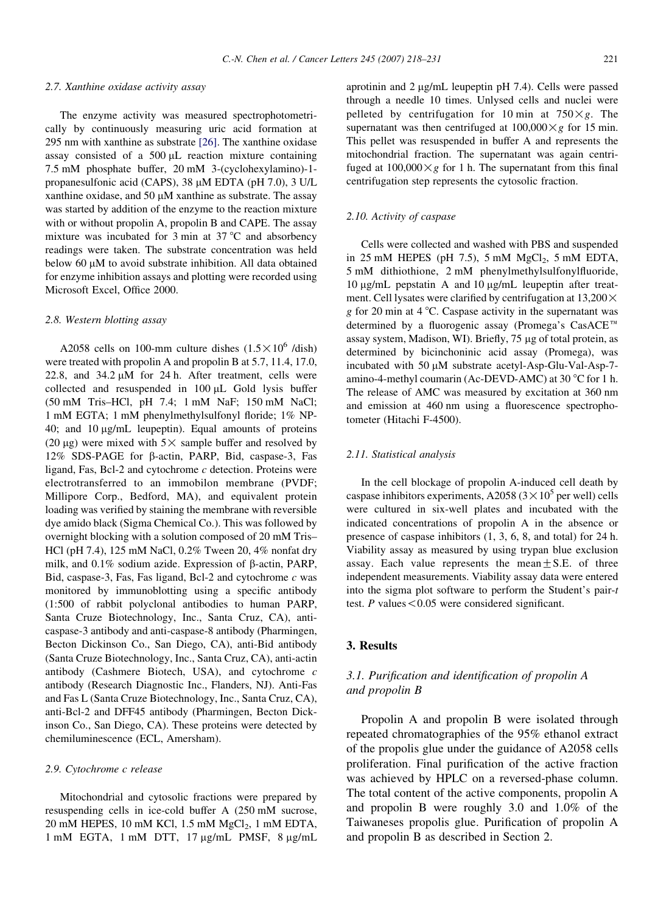#### 2.7. Xanthine oxidase activity assay

The enzyme activity was measured spectrophotometrically by continuously measuring uric acid formation at 295 nm with xanthine as substrate [\[26\].](#page-13-0) The xanthine oxidase assay consisted of a  $500 \mu L$  reaction mixture containing 7.5 mM phosphate buffer, 20 mM 3-(cyclohexylamino)-1 propanesulfonic acid (CAPS), 38 µM EDTA (pH 7.0), 3 U/L xanthine oxidase, and 50  $\mu$ M xanthine as substrate. The assay was started by addition of the enzyme to the reaction mixture with or without propolin A, propolin B and CAPE. The assay mixture was incubated for  $3 \text{ min}$  at  $37 \text{ °C}$  and absorbency readings were taken. The substrate concentration was held below 60  $\mu$ M to avoid substrate inhibition. All data obtained for enzyme inhibition assays and plotting were recorded using Microsoft Excel, Office 2000.

#### 2.8. Western blotting assay

A2058 cells on 100-mm culture dishes  $(1.5 \times 10^6$  /dish) were treated with propolin A and propolin B at 5.7, 11.4, 17.0, 22.8, and  $34.2 \mu M$  for 24 h. After treatment, cells were collected and resuspended in  $100 \mu L$  Gold lysis buffer (50 mM Tris–HCl, pH 7.4; 1 mM NaF; 150 mM NaCl; 1 mM EGTA; 1 mM phenylmethylsulfonyl floride; 1% NP-40; and  $10 \mu g/mL$  leupeptin). Equal amounts of proteins (20  $\mu$ g) were mixed with 5  $\times$  sample buffer and resolved by 12% SDS-PAGE for b-actin, PARP, Bid, caspase-3, Fas ligand, Fas, Bcl-2 and cytochrome  $c$  detection. Proteins were electrotransferred to an immobilon membrane (PVDF; Millipore Corp., Bedford, MA), and equivalent protein loading was verified by staining the membrane with reversible dye amido black (Sigma Chemical Co.). This was followed by overnight blocking with a solution composed of 20 mM Tris– HCl (pH 7.4), 125 mM NaCl, 0.2% Tween 20, 4% nonfat dry milk, and  $0.1\%$  sodium azide. Expression of  $\beta$ -actin, PARP, Bid, caspase-3, Fas, Fas ligand, Bcl-2 and cytochrome  $c$  was monitored by immunoblotting using a specific antibody (1:500 of rabbit polyclonal antibodies to human PARP, Santa Cruze Biotechnology, Inc., Santa Cruz, CA), anticaspase-3 antibody and anti-caspase-8 antibody (Pharmingen, Becton Dickinson Co., San Diego, CA), anti-Bid antibody (Santa Cruze Biotechnology, Inc., Santa Cruz, CA), anti-actin antibody (Cashmere Biotech, USA), and cytochrome c antibody (Research Diagnostic Inc., Flanders, NJ). Anti-Fas and Fas L (Santa Cruze Biotechnology, Inc., Santa Cruz, CA), anti-Bcl-2 and DFF45 antibody (Pharmingen, Becton Dickinson Co., San Diego, CA). These proteins were detected by chemiluminescence (ECL, Amersham).

#### 2.9. Cytochrome c release

Mitochondrial and cytosolic fractions were prepared by resuspending cells in ice-cold buffer A (250 mM sucrose,  $20 \text{ mM HEPES}, 10 \text{ mM KCl}, 1.5 \text{ mM } \text{MgCl}_2, 1 \text{ mM EDTA},$ 1 mM EGTA, 1 mM DTT, 17 µg/mL PMSF, 8 µg/mL aprotinin and  $2 \mu g/mL$  leupeptin pH 7.4). Cells were passed through a needle 10 times. Unlysed cells and nuclei were pelleted by centrifugation for 10 min at  $750 \times g$ . The supernatant was then centrifuged at  $100,000 \times g$  for 15 min. This pellet was resuspended in buffer A and represents the mitochondrial fraction. The supernatant was again centrifuged at  $100,000 \times g$  for 1 h. The supernatant from this final centrifugation step represents the cytosolic fraction.

#### 2.10. Activity of caspase

Cells were collected and washed with PBS and suspended in  $25 \text{ mM HEPES}$  (pH  $7.5$ ),  $5 \text{ mM } MgCl_2$ ,  $5 \text{ mM } EDTA$ , 5 mM dithiothione, 2 mM phenylmethylsulfonylfluoride, 10 μg/mL pepstatin A and 10 μg/mL leupeptin after treatment. Cell lysates were clarified by centrifugation at  $13,200 \times$ g for 20 min at  $4^{\circ}$ C. Caspase activity in the supernatant was determined by a fluorogenic assay (Promega's  $\text{CasACE}^m$ assay system, Madison, WI). Briefly, 75 µg of total protein, as determined by bicinchoninic acid assay (Promega), was incubated with 50  $\mu$ M substrate acetyl-Asp-Glu-Val-Asp-7amino-4-methyl coumarin (Ac-DEVD-AMC) at 30 °C for 1 h. The release of AMC was measured by excitation at 360 nm and emission at 460 nm using a fluorescence spectrophotometer (Hitachi F-4500).

#### 2.11. Statistical analysis

In the cell blockage of propolin A-induced cell death by caspase inhibitors experiments, A2058 ( $3 \times 10^5$  per well) cells were cultured in six-well plates and incubated with the indicated concentrations of propolin A in the absence or presence of caspase inhibitors (1, 3, 6, 8, and total) for 24 h. Viability assay as measured by using trypan blue exclusion assay. Each value represents the mean  $+$  S.E. of three independent measurements. Viability assay data were entered into the sigma plot software to perform the Student's pair-t test.  $P$  values  $< 0.05$  were considered significant.

## 3. Results

## 3.1. Purification and identification of propolin A and propolin B

Propolin A and propolin B were isolated through repeated chromatographies of the 95% ethanol extract of the propolis glue under the guidance of A2058 cells proliferation. Final purification of the active fraction was achieved by HPLC on a reversed-phase column. The total content of the active components, propolin A and propolin B were roughly 3.0 and 1.0% of the Taiwaneses propolis glue. Purification of propolin A and propolin B as described in Section 2.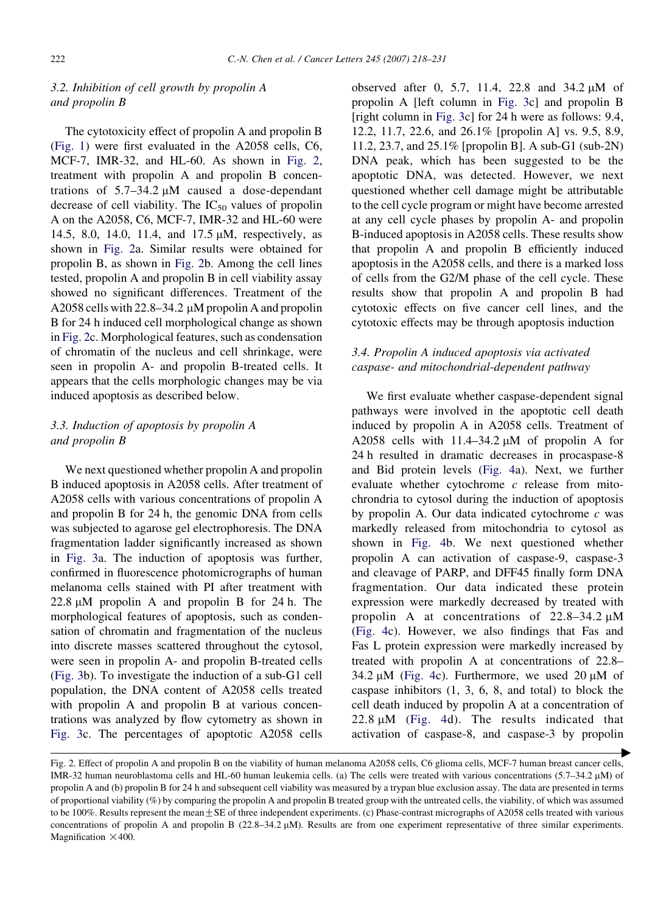# 3.2. Inhibition of cell growth by propolin A and propolin B

The cytotoxicity effect of propolin A and propolin B ([Fig. 1\)](#page-1-0) were first evaluated in the A2058 cells, C6, MCF-7, IMR-32, and HL-60. As shown in Fig. 2, treatment with propolin A and propolin B concentrations of  $5.7-34.2 \mu M$  caused a dose-dependant decrease of cell viability. The  $IC_{50}$  values of propolin A on the A2058, C6, MCF-7, IMR-32 and HL-60 were 14.5, 8.0, 14.0, 11.4, and 17.5 µM, respectively, as shown in Fig. 2a. Similar results were obtained for propolin B, as shown in Fig. 2b. Among the cell lines tested, propolin A and propolin B in cell viability assay showed no significant differences. Treatment of the A2058 cells with  $22.8-34.2 \mu M$  propolin A and propolin B for 24 h induced cell morphological change as shown in Fig. 2c. Morphological features, such as condensation of chromatin of the nucleus and cell shrinkage, were seen in propolin A- and propolin B-treated cells. It appears that the cells morphologic changes may be via induced apoptosis as described below.

# 3.3. Induction of apoptosis by propolin A and propolin B

We next questioned whether propolin A and propolin B induced apoptosis in A2058 cells. After treatment of A2058 cells with various concentrations of propolin A and propolin B for 24 h, the genomic DNA from cells was subjected to agarose gel electrophoresis. The DNA fragmentation ladder significantly increased as shown in Fig. 3a. The induction of apoptosis was further, confirmed in fluorescence photomicrographs of human melanoma cells stained with PI after treatment with  $22.8 \mu M$  propolin A and propolin B for 24 h. The morphological features of apoptosis, such as condensation of chromatin and fragmentation of the nucleus into discrete masses scattered throughout the cytosol, were seen in propolin A- and propolin B-treated cells (Fig. 3b). To investigate the induction of a sub-G1 cell population, the DNA content of A2058 cells treated with propolin A and propolin B at various concentrations was analyzed by flow cytometry as shown in Fig. 3c. The percentages of apoptotic A2058 cells

observed after 0, 5.7, 11.4, 22.8 and  $34.2 \mu M$  of propolin A [left column in Fig. 3c] and propolin B [right column in Fig. 3c] for 24 h were as follows: 9.4, 12.2, 11.7, 22.6, and 26.1% [propolin A] vs. 9.5, 8.9, 11.2, 23.7, and 25.1% [propolin B]. A sub-G1 (sub-2N) DNA peak, which has been suggested to be the apoptotic DNA, was detected. However, we next questioned whether cell damage might be attributable to the cell cycle program or might have become arrested at any cell cycle phases by propolin A- and propolin B-induced apoptosis in A2058 cells. These results show that propolin A and propolin B efficiently induced apoptosis in the A2058 cells, and there is a marked loss of cells from the G2/M phase of the cell cycle. These results show that propolin A and propolin B had cytotoxic effects on five cancer cell lines, and the cytotoxic effects may be through apoptosis induction

# 3.4. Propolin A induced apoptosis via activated caspase- and mitochondrial-dependent pathway

We first evaluate whether caspase-dependent signal pathways were involved in the apoptotic cell death induced by propolin A in A2058 cells. Treatment of A2058 cells with  $11.4-34.2 \mu M$  of propolin A for 24 h resulted in dramatic decreases in procaspase-8 and Bid protein levels (Fig. 4a). Next, we further evaluate whether cytochrome c release from mitochrondria to cytosol during the induction of apoptosis by propolin A. Our data indicated cytochrome  $c$  was markedly released from mitochondria to cytosol as shown in Fig. 4b. We next questioned whether propolin A can activation of caspase-9, caspase-3 and cleavage of PARP, and DFF45 finally form DNA fragmentation. Our data indicated these protein expression were markedly decreased by treated with propolin A at concentrations of  $22.8-34.2 \mu M$ (Fig. 4c). However, we also findings that Fas and Fas L protein expression were markedly increased by treated with propolin A at concentrations of 22.8– 34.2  $\mu$ M (Fig. 4c). Furthermore, we used 20  $\mu$ M of caspase inhibitors (1, 3, 6, 8, and total) to block the cell death induced by propolin A at a concentration of  $22.8 \mu M$  (Fig. 4d). The results indicated that activation of caspase-8, and caspase-3 by propolin

*"*

Fig. 2. Effect of propolin A and propolin B on the viability of human melanoma A2058 cells, C6 glioma cells, MCF-7 human breast cancer cells, IMR-32 human neuroblastoma cells and HL-60 human leukemia cells. (a) The cells were treated with various concentrations (5.7–34.2 µM) of propolin A and (b) propolin B for 24 h and subsequent cell viability was measured by a trypan blue exclusion assay. The data are presented in terms of proportional viability (%) by comparing the propolin A and propolin B treated group with the untreated cells, the viability, of which was assumed to be 100%. Results represent the mean  $\pm$  SE of three independent experiments. (c) Phase-contrast micrographs of A2058 cells treated with various concentrations of propolin A and propolin B  $(22.8-34.2 \,\mu\text{M})$ . Results are from one experiment representative of three similar experiments. Magnification  $\times$  400.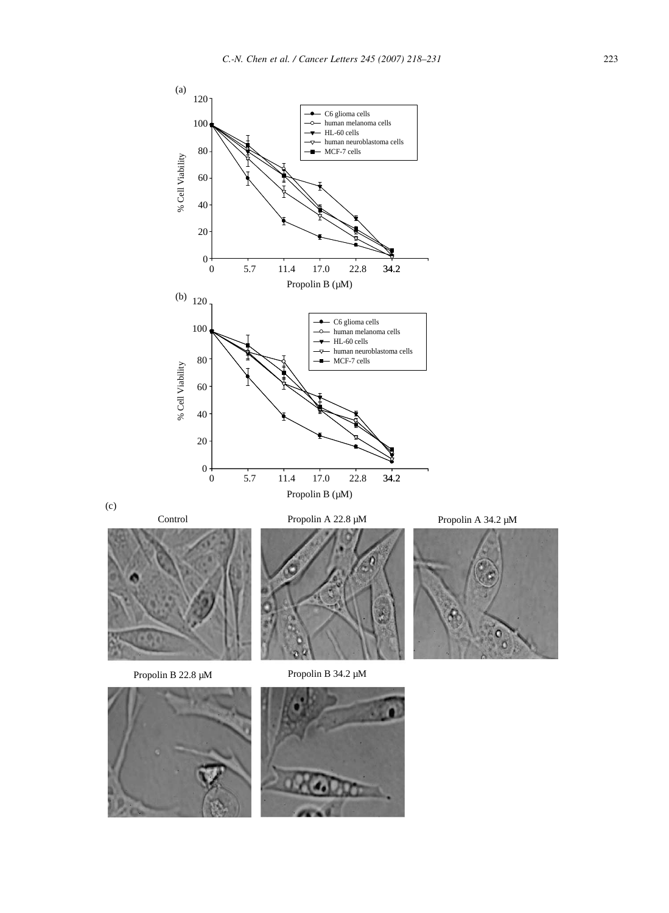

(c)



Propolin B 22.8 µM Propolin B 34.2 µM

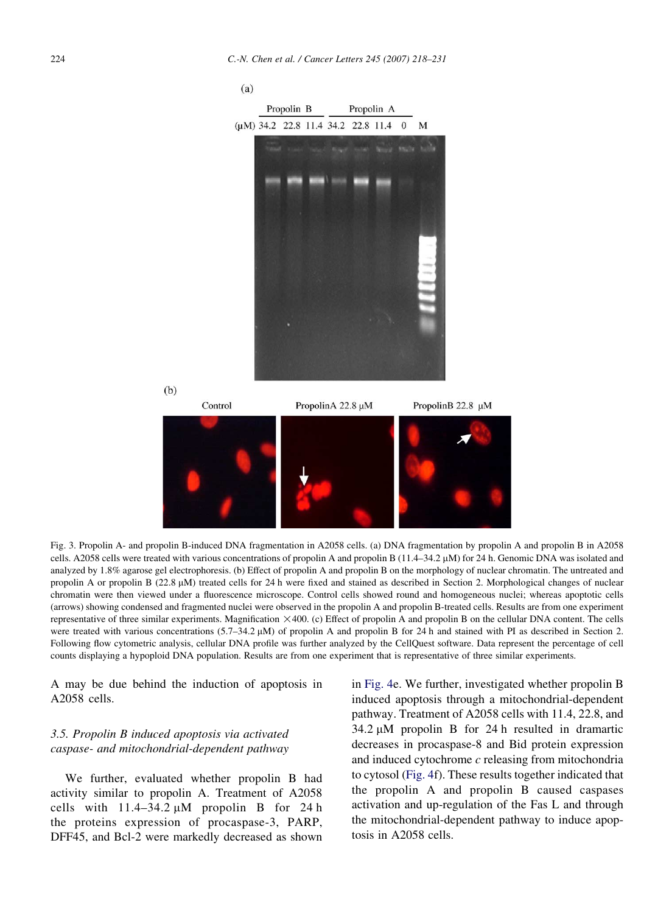

Fig. 3. Propolin A- and propolin B-induced DNA fragmentation in A2058 cells. (a) DNA fragmentation by propolin A and propolin B in A2058 cells. A2058 cells were treated with various concentrations of propolin A and propolin B (11.4–34.2 mM) for 24 h. Genomic DNA was isolated and analyzed by 1.8% agarose gel electrophoresis. (b) Effect of propolin A and propolin B on the morphology of nuclear chromatin. The untreated and propolin A or propolin B (22.8  $\mu$ M) treated cells for 24 h were fixed and stained as described in Section 2. Morphological changes of nuclear chromatin were then viewed under a fluorescence microscope. Control cells showed round and homogeneous nuclei; whereas apoptotic cells (arrows) showing condensed and fragmented nuclei were observed in the propolin A and propolin B-treated cells. Results are from one experiment representative of three similar experiments. Magnification  $\times 400$ . (c) Effect of propolin A and propolin B on the cellular DNA content. The cells were treated with various concentrations (5.7–34.2 mM) of propolin A and propolin B for 24 h and stained with PI as described in Section 2. Following flow cytometric analysis, cellular DNA profile was further analyzed by the CellQuest software. Data represent the percentage of cell counts displaying a hypoploid DNA population. Results are from one experiment that is representative of three similar experiments.

A may be due behind the induction of apoptosis in A2058 cells.

# 3.5. Propolin B induced apoptosis via activated caspase- and mitochondrial-dependent pathway

We further, evaluated whether propolin B had activity similar to propolin A. Treatment of A2058 cells with  $11.4-34.2 \mu M$  propolin B for 24 h the proteins expression of procaspase-3, PARP, DFF45, and Bcl-2 were markedly decreased as shown in Fig. 4e. We further, investigated whether propolin B induced apoptosis through a mitochondrial-dependent pathway. Treatment of A2058 cells with 11.4, 22.8, and  $34.2 \mu M$  propolin B for 24 h resulted in dramartic decreases in procaspase-8 and Bid protein expression and induced cytochrome c releasing from mitochondria to cytosol (Fig. 4f). These results together indicated that the propolin A and propolin B caused caspases activation and up-regulation of the Fas L and through the mitochondrial-dependent pathway to induce apoptosis in A2058 cells.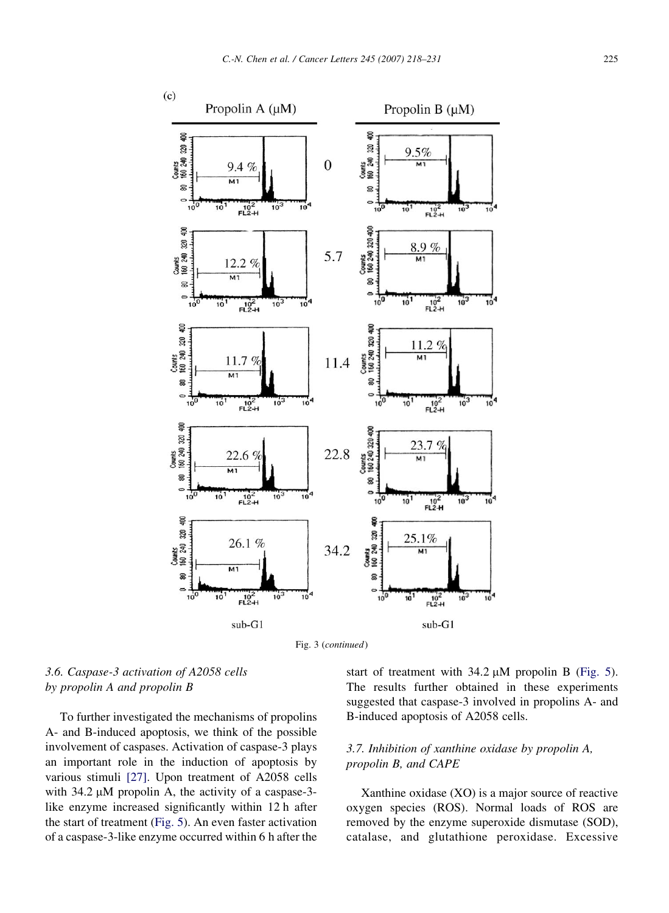

Fig. 3 (continued)

# 3.6. Caspase-3 activation of A2058 cells by propolin A and propolin B

To further investigated the mechanisms of propolins A- and B-induced apoptosis, we think of the possible involvement of caspases. Activation of caspase-3 plays an important role in the induction of apoptosis by various stimuli [\[27\].](#page-13-0) Upon treatment of A2058 cells with  $34.2 \mu M$  propolin A, the activity of a caspase-3like enzyme increased significantly within 12 h after the start of treatment ([Fig. 5](#page-11-0)). An even faster activation of a caspase-3-like enzyme occurred within 6 h after the start of treatment with  $34.2 \mu M$  propolin B [\(Fig. 5](#page-11-0)). The results further obtained in these experiments suggested that caspase-3 involved in propolins A- and B-induced apoptosis of A2058 cells.

# 3.7. Inhibition of xanthine oxidase by propolin A, propolin B, and CAPE

Xanthine oxidase (XO) is a major source of reactive oxygen species (ROS). Normal loads of ROS are removed by the enzyme superoxide dismutase (SOD), catalase, and glutathione peroxidase. Excessive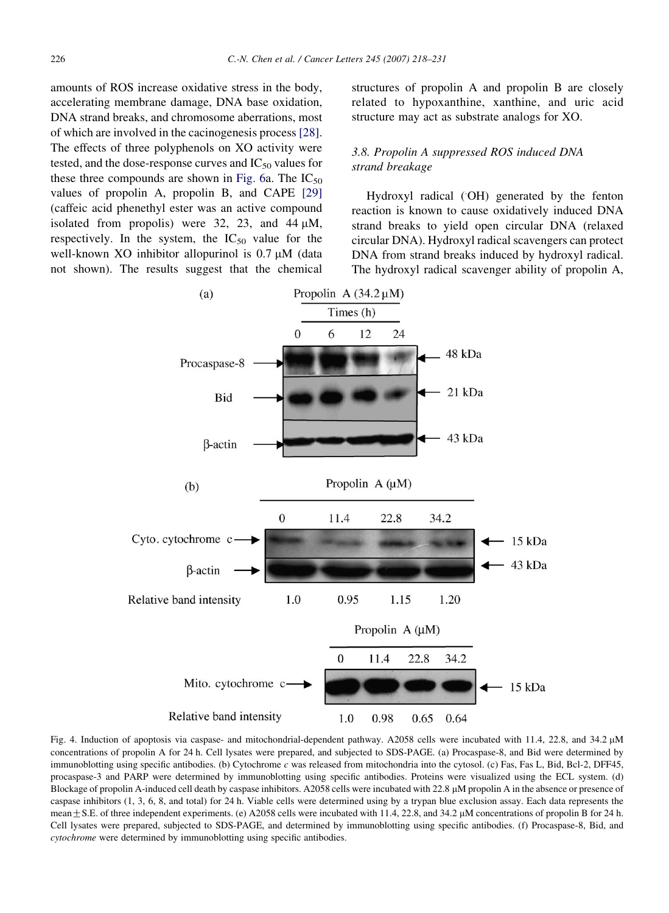amounts of ROS increase oxidative stress in the body, accelerating membrane damage, DNA base oxidation, DNA strand breaks, and chromosome aberrations, most of which are involved in the cacinogenesis process [\[28\].](#page-13-0) The effects of three polyphenols on XO activity were tested, and the dose-response curves and  $IC_{50}$  values for these three compounds are shown in [Fig. 6](#page-11-0)a. The  $IC_{50}$ values of propolin A, propolin B, and CAPE [\[29\]](#page-13-0) (caffeic acid phenethyl ester was an active compound isolated from propolis) were 32, 23, and 44  $\mu$ M, respectively. In the system, the  $IC_{50}$  value for the well-known XO inhibitor allopurinol is  $0.7 \mu M$  (data not shown). The results suggest that the chemical structures of propolin A and propolin B are closely related to hypoxanthine, xanthine, and uric acid structure may act as substrate analogs for XO.

# 3.8. Propolin A suppressed ROS induced DNA strand breakage

Hydroxyl radical (OH) generated by the fenton reaction is known to cause oxidatively induced DNA strand breaks to yield open circular DNA (relaxed circular DNA). Hydroxyl radical scavengers can protect DNA from strand breaks induced by hydroxyl radical. The hydroxyl radical scavenger ability of propolin A,



Fig. 4. Induction of apoptosis via caspase- and mitochondrial-dependent pathway. A2058 cells were incubated with 11.4, 22.8, and 34.2 mM concentrations of propolin A for 24 h. Cell lysates were prepared, and subjected to SDS-PAGE. (a) Procaspase-8, and Bid were determined by immunoblotting using specific antibodies. (b) Cytochrome c was released from mitochondria into the cytosol. (c) Fas, Fas L, Bid, Bcl-2, DFF45, procaspase-3 and PARP were determined by immunoblotting using specific antibodies. Proteins were visualized using the ECL system. (d) Blockage of propolin A-induced cell death by caspase inhibitors. A2058 cells were incubated with 22.8 µM propolin A in the absence or presence of caspase inhibitors (1, 3, 6, 8, and total) for 24 h. Viable cells were determined using by a trypan blue exclusion assay. Each data represents the mean $\pm$  S.E. of three independent experiments. (e) A2058 cells were incubated with 11.4, 22.8, and 34.2  $\mu$ M concentrations of propolin B for 24 h. Cell lysates were prepared, subjected to SDS-PAGE, and determined by immunoblotting using specific antibodies. (f) Procaspase-8, Bid, and cytochrome were determined by immunoblotting using specific antibodies.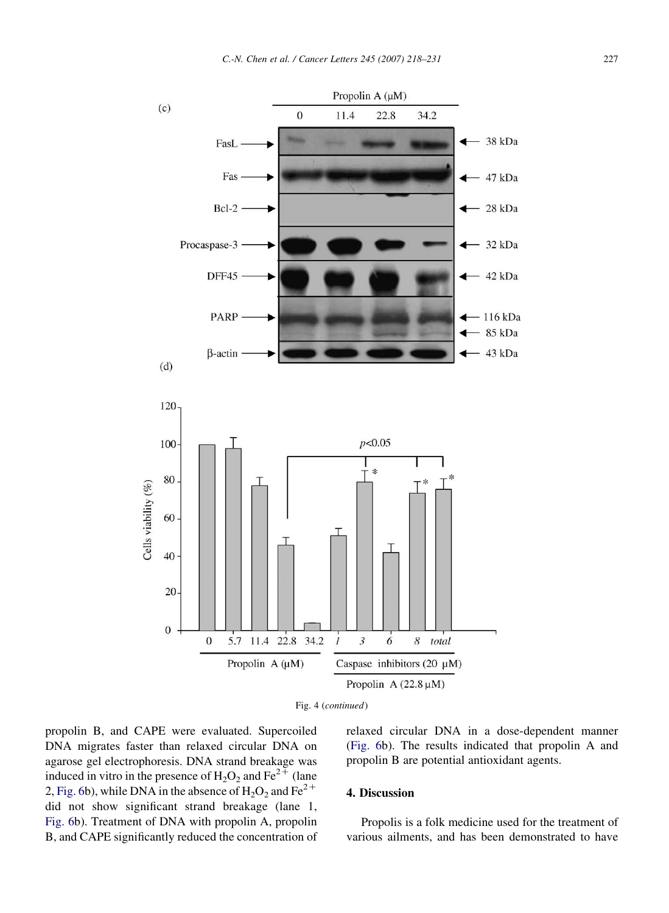



propolin B, and CAPE were evaluated. Supercoiled DNA migrates faster than relaxed circular DNA on agarose gel electrophoresis. DNA strand breakage was induced in vitro in the presence of  $H_2O_2$  and  $Fe^{2+}$  (lane 2, [Fig. 6b](#page-11-0)), while DNA in the absence of  $H_2O_2$  and  $Fe^{2+}$ did not show significant strand breakage (lane 1, [Fig. 6b](#page-11-0)). Treatment of DNA with propolin A, propolin B, and CAPE significantly reduced the concentration of relaxed circular DNA in a dose-dependent manner [\(Fig. 6b](#page-11-0)). The results indicated that propolin A and propolin B are potential antioxidant agents.

## 4. Discussion

Propolis is a folk medicine used for the treatment of various ailments, and has been demonstrated to have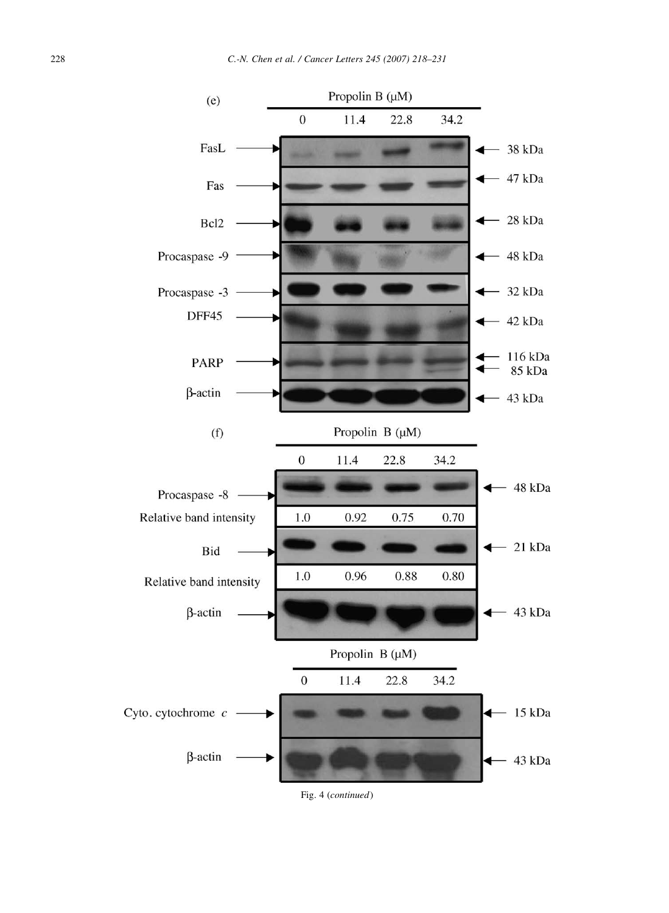

Fig. 4 (continued)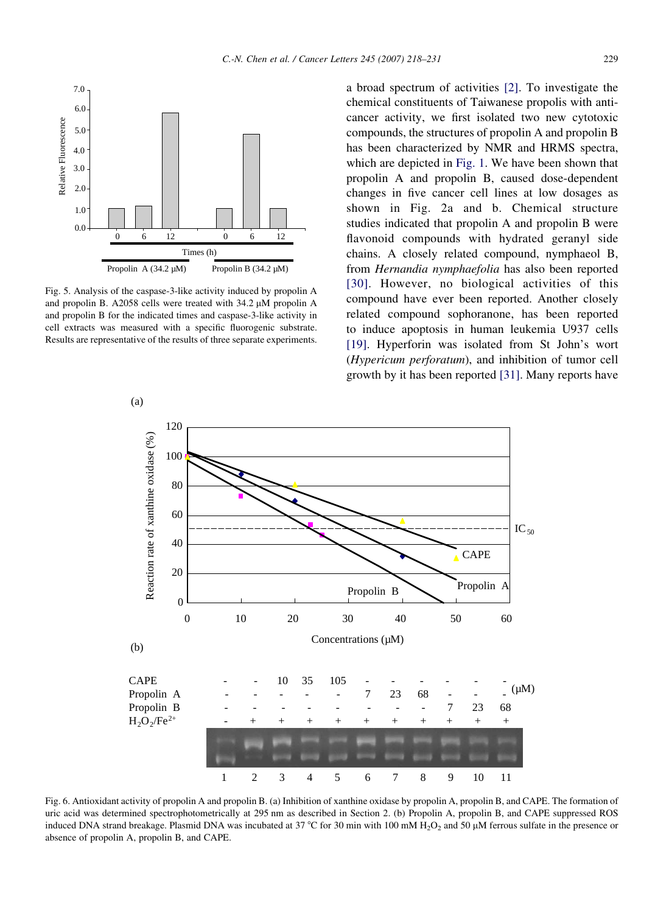<span id="page-11-0"></span>

Fig. 5. Analysis of the caspase-3-like activity induced by propolin A and propolin B. A2058 cells were treated with  $34.2 \mu M$  propolin A and propolin B for the indicated times and caspase-3-like activity in cell extracts was measured with a specific fluorogenic substrate. Results are representative of the results of three separate experiments.

a broad spectrum of activities [\[2\].](#page-13-0) To investigate the chemical constituents of Taiwanese propolis with anticancer activity, we first isolated two new cytotoxic compounds, the structures of propolin A and propolin B has been characterized by NMR and HRMS spectra, which are depicted in [Fig. 1](#page-1-0). We have been shown that propolin A and propolin B, caused dose-dependent changes in five cancer cell lines at low dosages as shown in Fig. 2a and b. Chemical structure studies indicated that propolin A and propolin B were flavonoid compounds with hydrated geranyl side chains. A closely related compound, nymphaeol B, from Hernandia nymphaefolia has also been reported [\[30\].](#page-13-0) However, no biological activities of this compound have ever been reported. Another closely related compound sophoranone, has been reported to induce apoptosis in human leukemia U937 cells [\[19\].](#page-13-0) Hyperforin was isolated from St John's wort (Hypericum perforatum), and inhibition of tumor cell growth by it has been reported [\[31\]](#page-13-0). Many reports have



Fig. 6. Antioxidant activity of propolin A and propolin B. (a) Inhibition of xanthine oxidase by propolin A, propolin B, and CAPE. The formation of uric acid was determined spectrophotometrically at 295 nm as described in Section 2. (b) Propolin A, propolin B, and CAPE suppressed ROS induced DNA strand breakage. Plasmid DNA was incubated at 37  $^{\circ}$ C for 30 min with 100 mM H<sub>2</sub>O<sub>2</sub> and 50 uM ferrous sulfate in the presence or absence of propolin A, propolin B, and CAPE.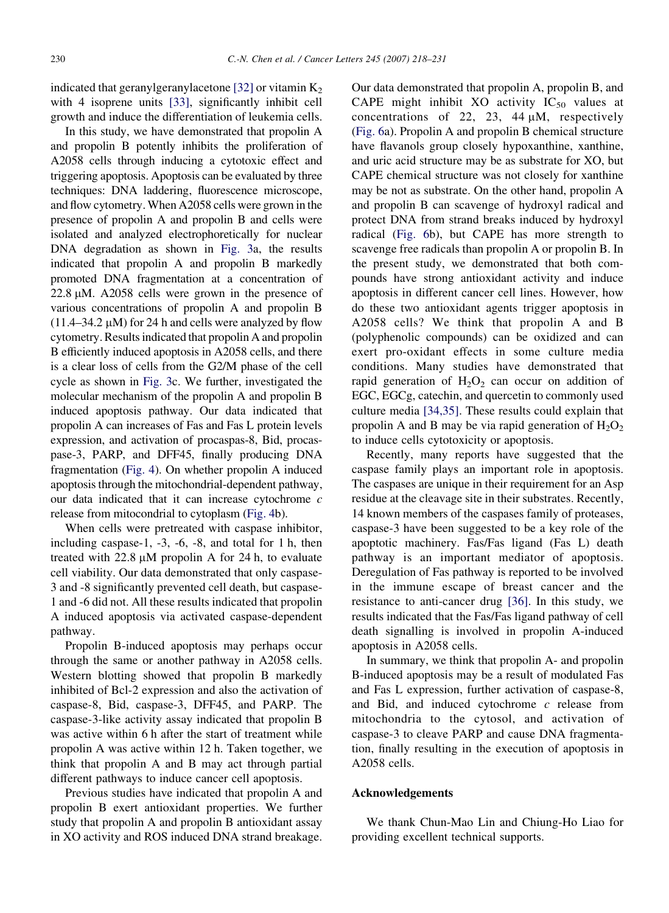indicated that geranylgeranylacetone [\[32\]](#page-13-0) or vitamin  $K<sub>2</sub>$ with 4 isoprene units [\[33\]](#page-13-0), significantly inhibit cell growth and induce the differentiation of leukemia cells.

In this study, we have demonstrated that propolin A and propolin B potently inhibits the proliferation of A2058 cells through inducing a cytotoxic effect and triggering apoptosis. Apoptosis can be evaluated by three techniques: DNA laddering, fluorescence microscope, and flow cytometry.When A2058 cells were grown in the presence of propolin A and propolin B and cells were isolated and analyzed electrophoretically for nuclear DNA degradation as shown in Fig. 3a, the results indicated that propolin A and propolin B markedly promoted DNA fragmentation at a concentration of  $22.8 \mu M$ . A2058 cells were grown in the presence of various concentrations of propolin A and propolin B  $(11.4-34.2 \mu M)$  for 24 h and cells were analyzed by flow cytometry. Results indicated that propolin A and propolin B efficiently induced apoptosis in A2058 cells, and there is a clear loss of cells from the G2/M phase of the cell cycle as shown in Fig. 3c. We further, investigated the molecular mechanism of the propolin A and propolin B induced apoptosis pathway. Our data indicated that propolin A can increases of Fas and Fas L protein levels expression, and activation of procaspas-8, Bid, procaspase-3, PARP, and DFF45, finally producing DNA fragmentation (Fig. 4). On whether propolin A induced apoptosis through the mitochondrial-dependent pathway, our data indicated that it can increase cytochrome c release from mitocondrial to cytoplasm (Fig. 4b).

When cells were pretreated with caspase inhibitor, including caspase-1, -3, -6, -8, and total for 1 h, then treated with  $22.8 \mu M$  propolin A for 24 h, to evaluate cell viability. Our data demonstrated that only caspase-3 and -8 significantly prevented cell death, but caspase-1 and -6 did not. All these results indicated that propolin A induced apoptosis via activated caspase-dependent pathway.

Propolin B-induced apoptosis may perhaps occur through the same or another pathway in A2058 cells. Western blotting showed that propolin B markedly inhibited of Bcl-2 expression and also the activation of caspase-8, Bid, caspase-3, DFF45, and PARP. The caspase-3-like activity assay indicated that propolin B was active within 6 h after the start of treatment while propolin A was active within 12 h. Taken together, we think that propolin A and B may act through partial different pathways to induce cancer cell apoptosis.

Previous studies have indicated that propolin A and propolin B exert antioxidant properties. We further study that propolin A and propolin B antioxidant assay in XO activity and ROS induced DNA strand breakage. Our data demonstrated that propolin A, propolin B, and CAPE might inhibit XO activity  $IC_{50}$  values at concentrations of 22, 23, 44  $\mu$ M, respectively ([Fig. 6a](#page-11-0)). Propolin A and propolin B chemical structure have flavanols group closely hypoxanthine, xanthine, and uric acid structure may be as substrate for XO, but CAPE chemical structure was not closely for xanthine may be not as substrate. On the other hand, propolin A and propolin B can scavenge of hydroxyl radical and protect DNA from strand breaks induced by hydroxyl radical ([Fig. 6](#page-11-0)b), but CAPE has more strength to scavenge free radicals than propolin A or propolin B. In the present study, we demonstrated that both compounds have strong antioxidant activity and induce apoptosis in different cancer cell lines. However, how do these two antioxidant agents trigger apoptosis in A2058 cells? We think that propolin A and B (polyphenolic compounds) can be oxidized and can exert pro-oxidant effects in some culture media conditions. Many studies have demonstrated that rapid generation of  $H_2O_2$  can occur on addition of EGC, EGCg, catechin, and quercetin to commonly used culture media [\[34,35\].](#page-13-0) These results could explain that propolin A and B may be via rapid generation of  $H_2O_2$ to induce cells cytotoxicity or apoptosis.

Recently, many reports have suggested that the caspase family plays an important role in apoptosis. The caspases are unique in their requirement for an Asp residue at the cleavage site in their substrates. Recently, 14 known members of the caspases family of proteases, caspase-3 have been suggested to be a key role of the apoptotic machinery. Fas/Fas ligand (Fas L) death pathway is an important mediator of apoptosis. Deregulation of Fas pathway is reported to be involved in the immune escape of breast cancer and the resistance to anti-cancer drug [\[36\].](#page-13-0) In this study, we results indicated that the Fas/Fas ligand pathway of cell death signalling is involved in propolin A-induced apoptosis in A2058 cells.

In summary, we think that propolin A- and propolin B-induced apoptosis may be a result of modulated Fas and Fas L expression, further activation of caspase-8, and Bid, and induced cytochrome  $c$  release from mitochondria to the cytosol, and activation of caspase-3 to cleave PARP and cause DNA fragmentation, finally resulting in the execution of apoptosis in A2058 cells.

## Acknowledgements

We thank Chun-Mao Lin and Chiung-Ho Liao for providing excellent technical supports.